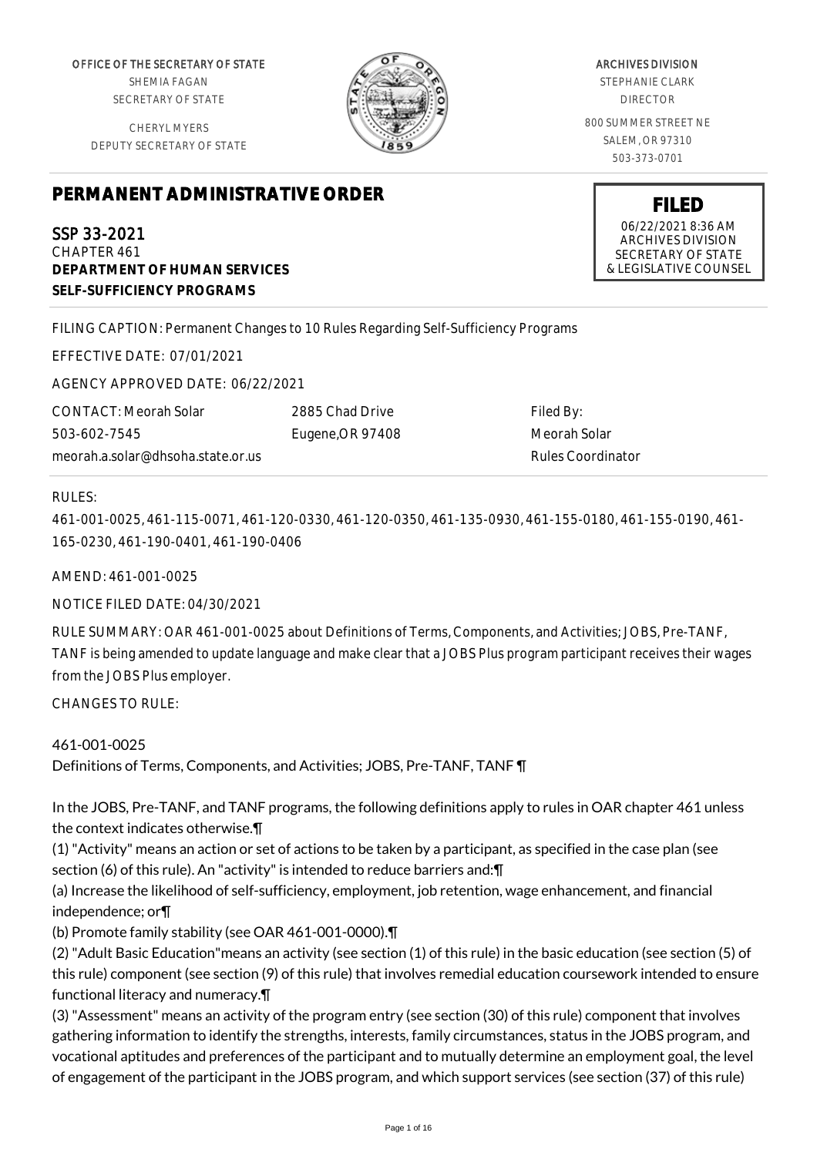OFFICE OF THE SECRETARY OF STATE SHEMIA FAGAN SECRETARY OF STATE

CHERYL MYERS DEPUTY SECRETARY OF STATE



ARCHIVES DIVISION STEPHANIE CLARK DIRECTOR 800 SUMMER STREET NE

> SALEM, OR 97310 503-373-0701

**FILED** 06/22/2021 8:36 AM ARCHIVES DIVISION SECRETARY OF STATE & LEGISLATIVE COUNSEL

# **PERMANENT ADMINISTRATIVE ORDER**

SSP 33-2021 CHAPTER 461 **DEPARTMENT OF HUMAN SERVICES SELF-SUFFICIENCY PROGRAMS**

FILING CAPTION: Permanent Changes to 10 Rules Regarding Self-Sufficiency Programs

EFFECTIVE DATE: 07/01/2021

AGENCY APPROVED DATE: 06/22/2021

CONTACT: Meorah Solar 503-602-7545 meorah.a.solar@dhsoha.state.or.us 2885 Chad Drive Eugene,OR 97408

Filed By: Meorah Solar Rules Coordinator

## RULES:

461-001-0025, 461-115-0071, 461-120-0330, 461-120-0350, 461-135-0930, 461-155-0180, 461-155-0190, 461- 165-0230, 461-190-0401, 461-190-0406

AMEND: 461-001-0025

NOTICE FILED DATE: 04/30/2021

RULE SUMMARY: OAR 461-001-0025 about Definitions of Terms, Components, and Activities; JOBS, Pre-TANF, TANF is being amended to update language and make clear that a JOBS Plus program participant receives their wages from the JOBS Plus employer.

CHANGES TO RULE:

461-001-0025 Definitions of Terms, Components, and Activities; JOBS, Pre-TANF, TANF ¶

In the JOBS, Pre-TANF, and TANF programs, the following definitions apply to rules in OAR chapter 461 unless the context indicates otherwise.¶

(1) "Activity" means an action or set of actions to be taken by a participant, as specified in the case plan (see section (6) of this rule). An "activity" is intended to reduce barriers and:¶

(a) Increase the likelihood of self-sufficiency, employment, job retention, wage enhancement, and financial independence; or¶

(b) Promote family stability (see OAR 461-001-0000).¶

(2) "Adult Basic Education"means an activity (see section (1) of this rule) in the basic education (see section (5) of this rule) component (see section (9) of this rule) that involves remedial education coursework intended to ensure functional literacy and numeracy.¶

(3) "Assessment" means an activity of the program entry (see section (30) of this rule) component that involves gathering information to identify the strengths, interests, family circumstances, status in the JOBS program, and vocational aptitudes and preferences of the participant and to mutually determine an employment goal, the level of engagement of the participant in the JOBS program, and which support services (see section (37) of this rule)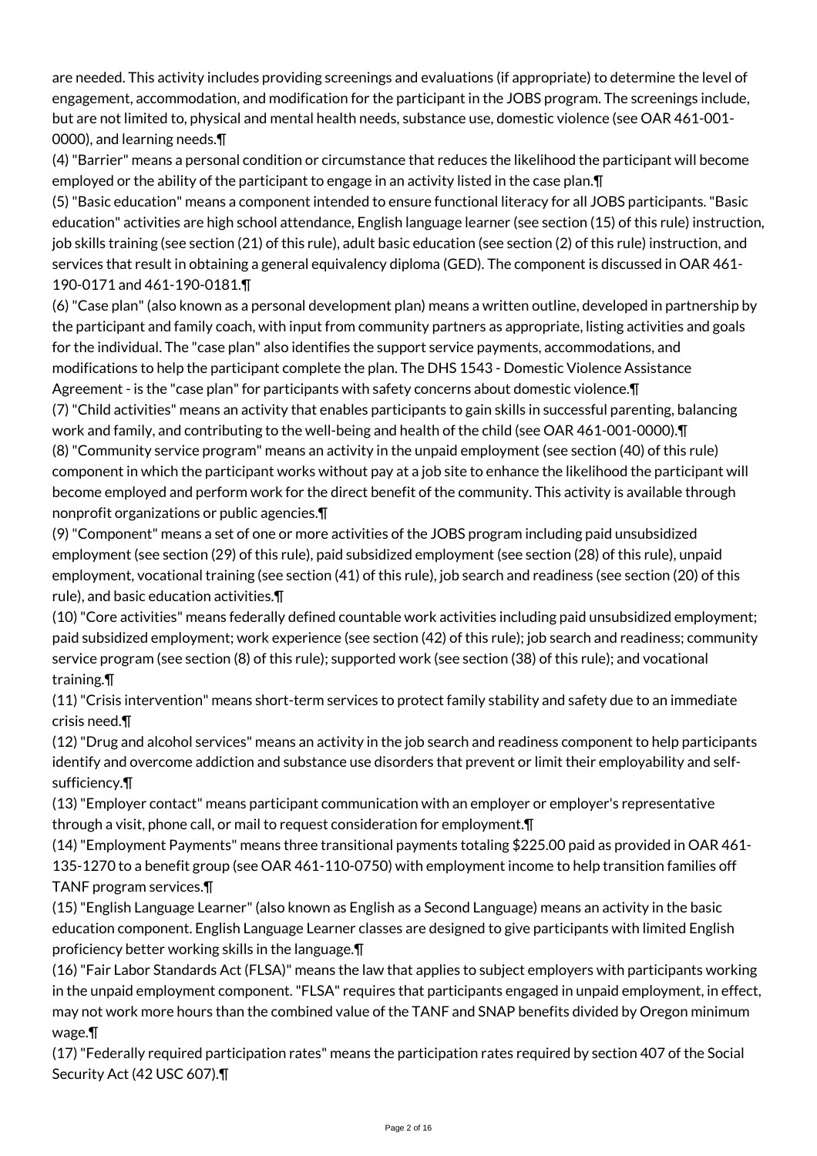are needed. This activity includes providing screenings and evaluations (if appropriate) to determine the level of engagement, accommodation, and modification for the participant in the JOBS program. The screenings include, but are not limited to, physical and mental health needs, substance use, domestic violence (see OAR 461-001- 0000), and learning needs.¶

(4) "Barrier" means a personal condition or circumstance that reduces the likelihood the participant will become employed or the ability of the participant to engage in an activity listed in the case plan.¶

(5) "Basic education" means a component intended to ensure functional literacy for all JOBS participants. "Basic education" activities are high school attendance, English language learner (see section (15) of this rule) instruction, job skills training (see section (21) of this rule), adult basic education (see section (2) of this rule) instruction, and services that result in obtaining a general equivalency diploma (GED). The component is discussed in OAR 461- 190-0171 and 461-190-0181.¶

(6) "Case plan" (also known as a personal development plan) means a written outline, developed in partnership by the participant and family coach, with input from community partners as appropriate, listing activities and goals for the individual. The "case plan" also identifies the support service payments, accommodations, and modifications to help the participant complete the plan. The DHS 1543 - Domestic Violence Assistance Agreement - is the "case plan" for participants with safety concerns about domestic violence.¶ (7) "Child activities" means an activity that enables participants to gain skills in successful parenting, balancing work and family, and contributing to the well-being and health of the child (see OAR 461-001-0000).¶ (8) "Community service program" means an activity in the unpaid employment (see section (40) of this rule) component in which the participant works without pay at a job site to enhance the likelihood the participant will become employed and perform work for the direct benefit of the community. This activity is available through nonprofit organizations or public agencies.¶

(9) "Component" means a set of one or more activities of the JOBS program including paid unsubsidized employment (see section (29) of this rule), paid subsidized employment (see section (28) of this rule), unpaid employment, vocational training (see section (41) of this rule), job search and readiness (see section (20) of this rule), and basic education activities.¶

(10) "Core activities" means federally defined countable work activities including paid unsubsidized employment; paid subsidized employment; work experience (see section (42) of this rule); job search and readiness; community service program (see section (8) of this rule); supported work (see section (38) of this rule); and vocational training.¶

(11) "Crisis intervention" means short-term services to protect family stability and safety due to an immediate crisis need.¶

(12) "Drug and alcohol services" means an activity in the job search and readiness component to help participants identify and overcome addiction and substance use disorders that prevent or limit their employability and selfsufficiency.¶

(13) "Employer contact" means participant communication with an employer or employer's representative through a visit, phone call, or mail to request consideration for employment.¶

(14) "Employment Payments" means three transitional payments totaling \$225.00 paid as provided in OAR 461- 135-1270 to a benefit group (see OAR 461-110-0750) with employment income to help transition families off TANF program services.¶

(15) "English Language Learner" (also known as English as a Second Language) means an activity in the basic education component. English Language Learner classes are designed to give participants with limited English proficiency better working skills in the language.¶

(16) "Fair Labor Standards Act (FLSA)" means the law that applies to subject employers with participants working in the unpaid employment component. "FLSA" requires that participants engaged in unpaid employment, in effect, may not work more hours than the combined value of the TANF and SNAP benefits divided by Oregon minimum wage.¶

(17) "Federally required participation rates" means the participation rates required by section 407 of the Social Security Act (42 USC 607).¶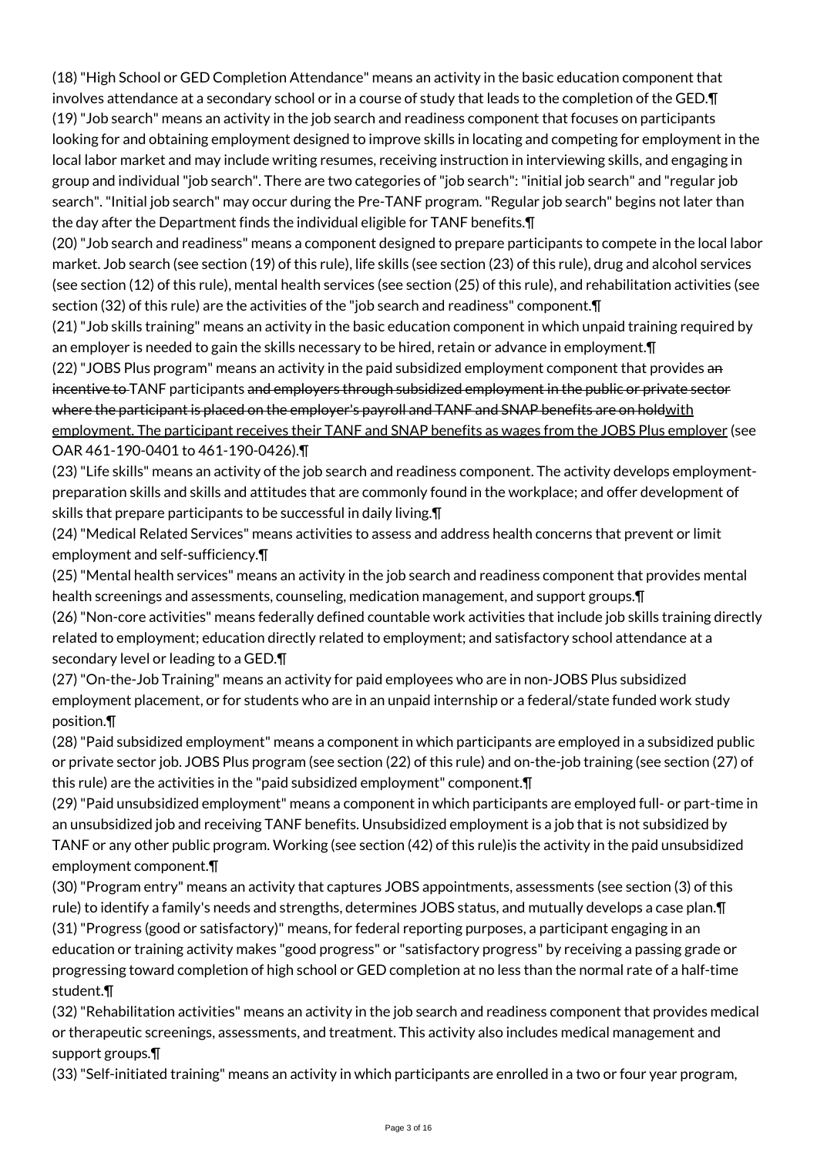(18) "High School or GED Completion Attendance" means an activity in the basic education component that involves attendance at a secondary school or in a course of study that leads to the completion of the GED.¶ (19) "Job search" means an activity in the job search and readiness component that focuses on participants looking for and obtaining employment designed to improve skills in locating and competing for employment in the local labor market and may include writing resumes, receiving instruction in interviewing skills, and engaging in group and individual "job search". There are two categories of "job search": "initial job search" and "regular job search". "Initial job search" may occur during the Pre-TANF program. "Regular job search" begins not later than the day after the Department finds the individual eligible for TANF benefits.¶

(20) "Job search and readiness" means a component designed to prepare participants to compete in the local labor market. Job search (see section (19) of this rule), life skills (see section (23) of this rule), drug and alcohol services (see section (12) of this rule), mental health services (see section (25) of this rule), and rehabilitation activities (see section (32) of this rule) are the activities of the "job search and readiness" component.¶

(21) "Job skills training" means an activity in the basic education component in which unpaid training required by an employer is needed to gain the skills necessary to be hired, retain or advance in employment.¶

(22) "JOBS Plus program" means an activity in the paid subsidized employment component that provides an incentive to TANF participants and employers through subsidized employment in the public or private sector where the participant is placed on the employer's payroll and TANF and SNAP benefits are on holdwith employment. The participant receives their TANF and SNAP benefits as wages from the JOBS Plus employer (see OAR 461-190-0401 to 461-190-0426).¶

(23) "Life skills" means an activity of the job search and readiness component. The activity develops employmentpreparation skills and skills and attitudes that are commonly found in the workplace; and offer development of skills that prepare participants to be successful in daily living.¶

(24) "Medical Related Services" means activities to assess and address health concerns that prevent or limit employment and self-sufficiency.¶

(25) "Mental health services" means an activity in the job search and readiness component that provides mental health screenings and assessments, counseling, medication management, and support groups.¶

(26) "Non-core activities" means federally defined countable work activities that include job skills training directly related to employment; education directly related to employment; and satisfactory school attendance at a secondary level or leading to a GED.¶

(27) "On-the-Job Training" means an activity for paid employees who are in non-JOBS Plus subsidized employment placement, or for students who are in an unpaid internship or a federal/state funded work study position.¶

(28) "Paid subsidized employment" means a component in which participants are employed in a subsidized public or private sector job. JOBS Plus program (see section (22) of this rule) and on-the-job training (see section (27) of this rule) are the activities in the "paid subsidized employment" component.¶

(29) "Paid unsubsidized employment" means a component in which participants are employed full- or part-time in an unsubsidized job and receiving TANF benefits. Unsubsidized employment is a job that is not subsidized by TANF or any other public program. Working (see section (42) of this rule)is the activity in the paid unsubsidized employment component.¶

(30) "Program entry" means an activity that captures JOBS appointments, assessments (see section (3) of this rule) to identify a family's needs and strengths, determines JOBS status, and mutually develops a case plan.¶ (31) "Progress (good or satisfactory)" means, for federal reporting purposes, a participant engaging in an education or training activity makes "good progress" or "satisfactory progress" by receiving a passing grade or

progressing toward completion of high school or GED completion at no less than the normal rate of a half-time student.¶

(32) "Rehabilitation activities" means an activity in the job search and readiness component that provides medical or therapeutic screenings, assessments, and treatment. This activity also includes medical management and support groups.¶

(33) "Self-initiated training" means an activity in which participants are enrolled in a two or four year program,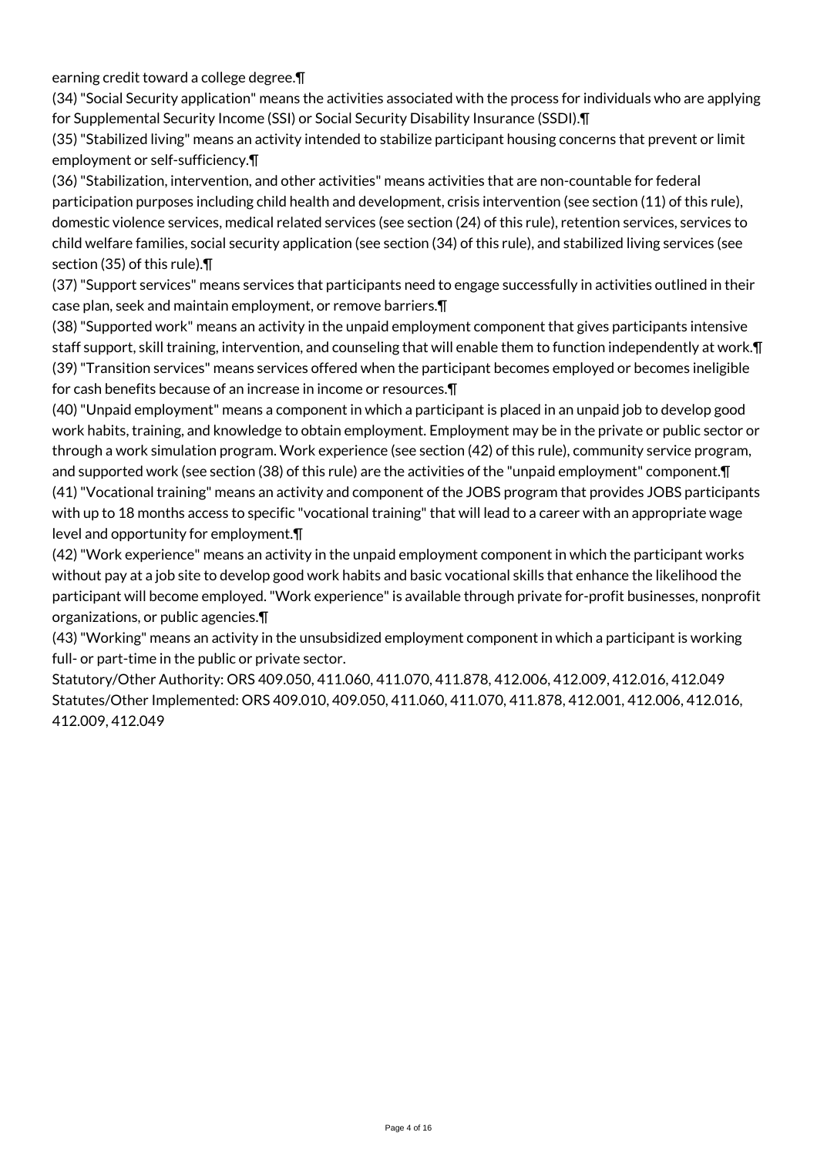earning credit toward a college degree.¶

(34) "Social Security application" means the activities associated with the process for individuals who are applying for Supplemental Security Income (SSI) or Social Security Disability Insurance (SSDI).¶

(35) "Stabilized living" means an activity intended to stabilize participant housing concerns that prevent or limit employment or self-sufficiency.¶

(36) "Stabilization, intervention, and other activities" means activities that are non-countable for federal participation purposes including child health and development, crisis intervention (see section (11) of this rule), domestic violence services, medical related services (see section (24) of this rule), retention services, services to child welfare families, social security application (see section (34) of this rule), and stabilized living services (see section (35) of this rule).¶

(37) "Support services" means services that participants need to engage successfully in activities outlined in their case plan, seek and maintain employment, or remove barriers.¶

(38) "Supported work" means an activity in the unpaid employment component that gives participants intensive staff support, skill training, intervention, and counseling that will enable them to function independently at work.¶ (39) "Transition services" means services offered when the participant becomes employed or becomes ineligible for cash benefits because of an increase in income or resources.¶

(40) "Unpaid employment" means a component in which a participant is placed in an unpaid job to develop good work habits, training, and knowledge to obtain employment. Employment may be in the private or public sector or through a work simulation program. Work experience (see section (42) of this rule), community service program, and supported work (see section (38) of this rule) are the activities of the "unpaid employment" component. [ (41) "Vocational training" means an activity and component of the JOBS program that provides JOBS participants with up to 18 months access to specific "vocational training" that will lead to a career with an appropriate wage

level and opportunity for employment.¶

(42) "Work experience" means an activity in the unpaid employment component in which the participant works without pay at a job site to develop good work habits and basic vocational skills that enhance the likelihood the participant will become employed. "Work experience" is available through private for-profit businesses, nonprofit organizations, or public agencies.¶

(43) "Working" means an activity in the unsubsidized employment component in which a participant is working full- or part-time in the public or private sector.

Statutory/Other Authority: ORS 409.050, 411.060, 411.070, 411.878, 412.006, 412.009, 412.016, 412.049 Statutes/Other Implemented: ORS 409.010, 409.050, 411.060, 411.070, 411.878, 412.001, 412.006, 412.016, 412.009, 412.049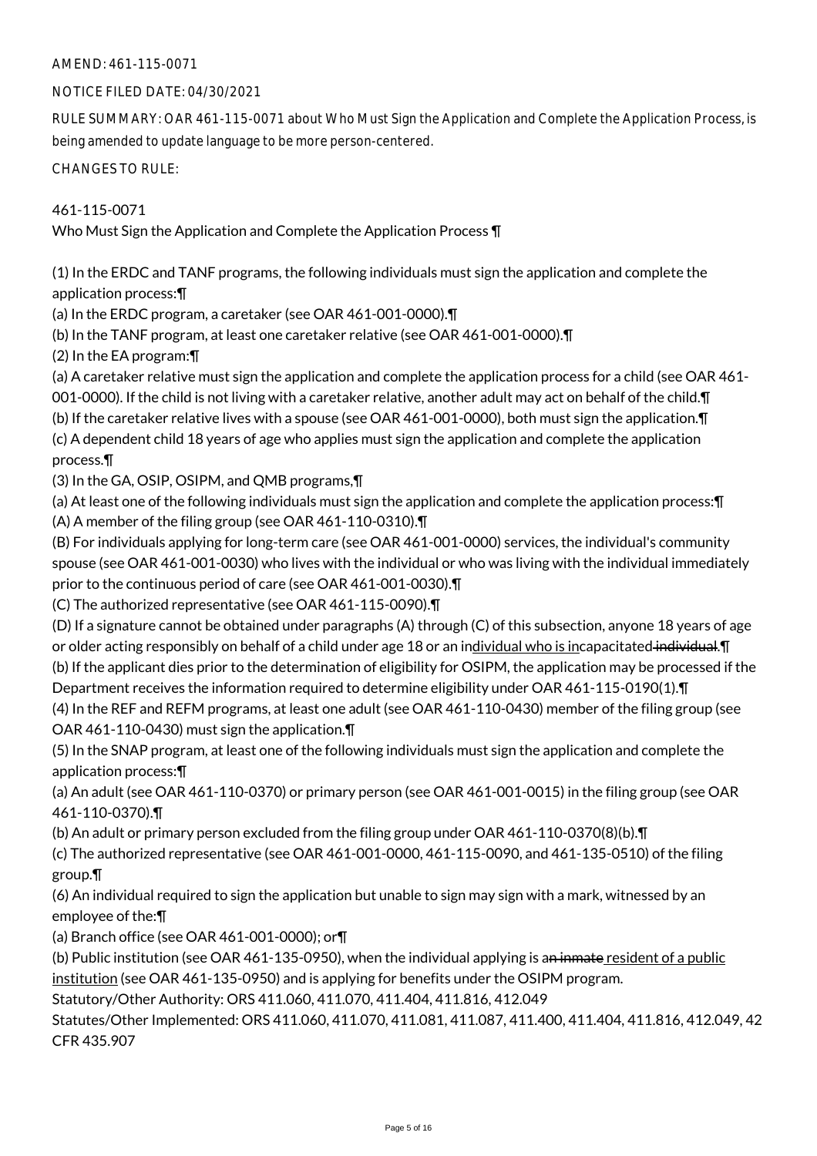## AMEND: 461-115-0071

## NOTICE FILED DATE: 04/30/2021

RULE SUMMARY: OAR 461-115-0071 about Who Must Sign the Application and Complete the Application Process, is being amended to update language to be more person-centered.

CHANGES TO RULE:

461-115-0071 Who Must Sign the Application and Complete the Application Process ¶

(1) In the ERDC and TANF programs, the following individuals must sign the application and complete the application process:¶

(a) In the ERDC program, a caretaker (see OAR 461-001-0000).¶

(b) In the TANF program, at least one caretaker relative (see OAR 461-001-0000).¶

(2) In the EA program:¶

(a) A caretaker relative must sign the application and complete the application process for a child (see OAR 461-

001-0000). If the child is not living with a caretaker relative, another adult may act on behalf of the child. I

(b) If the caretaker relative lives with a spouse (see OAR 461-001-0000), both must sign the application.¶

(c) A dependent child 18 years of age who applies must sign the application and complete the application process.¶

(3) In the GA, OSIP, OSIPM, and QMB programs,¶

(a) At least one of the following individuals must sign the application and complete the application process:¶ (A) A member of the filing group (see OAR 461-110-0310).¶

(B) For individuals applying for long-term care (see OAR 461-001-0000) services, the individual's community spouse (see OAR 461-001-0030) who lives with the individual or who was living with the individual immediately prior to the continuous period of care (see OAR 461-001-0030).¶

(C) The authorized representative (see OAR 461-115-0090).¶

(D) If a signature cannot be obtained under paragraphs (A) through (C) of this subsection, anyone 18 years of age or older acting responsibly on behalf of a child under age 18 or an individual who is incapacitated individual. I (b) If the applicant dies prior to the determination of eligibility for OSIPM, the application may be processed if the

Department receives the information required to determine eligibility under OAR 461-115-0190(1).¶ (4) In the REF and REFM programs, at least one adult (see OAR 461-110-0430) member of the filing group (see OAR 461-110-0430) must sign the application.¶

(5) In the SNAP program, at least one of the following individuals must sign the application and complete the application process:¶

(a) An adult (see OAR 461-110-0370) or primary person (see OAR 461-001-0015) in the filing group (see OAR 461-110-0370).¶

(b) An adult or primary person excluded from the filing group under OAR 461-110-0370(8)(b).¶

(c) The authorized representative (see OAR 461-001-0000, 461-115-0090, and 461-135-0510) of the filing group.¶

(6) An individual required to sign the application but unable to sign may sign with a mark, witnessed by an employee of the:¶

(a) Branch office (see OAR 461-001-0000); or¶

(b) Public institution (see OAR 461-135-0950), when the individual applying is an inmate resident of a public institution (see OAR 461-135-0950) and is applying for benefits under the OSIPM program.

Statutory/Other Authority: ORS 411.060, 411.070, 411.404, 411.816, 412.049

Statutes/Other Implemented: ORS 411.060, 411.070, 411.081, 411.087, 411.400, 411.404, 411.816, 412.049, 42 CFR 435.907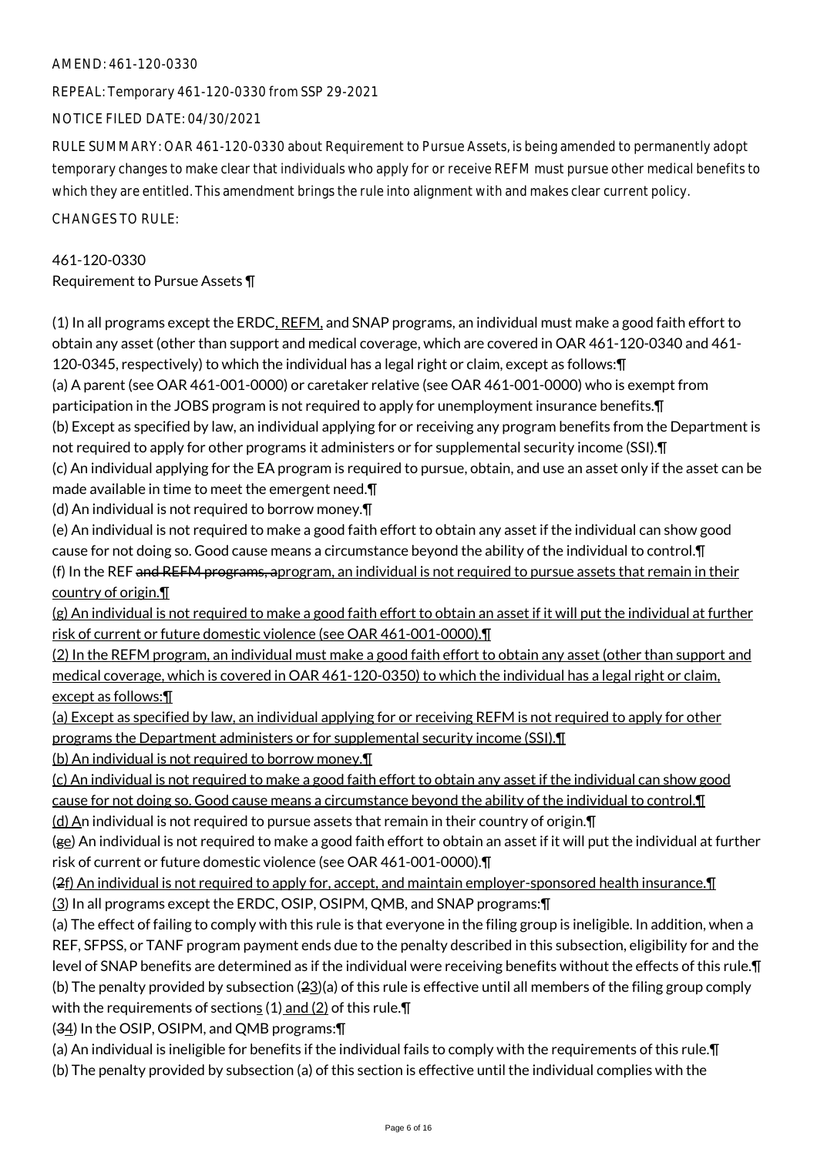## AMEND: 461-120-0330

REPEAL: Temporary 461-120-0330 from SSP 29-2021

NOTICE FILED DATE: 04/30/2021

RULE SUMMARY: OAR 461-120-0330 about Requirement to Pursue Assets, is being amended to permanently adopt temporary changes to make clear that individuals who apply for or receive REFM must pursue other medical benefits to which they are entitled. This amendment brings the rule into alignment with and makes clear current policy.

CHANGES TO RULE:

461-120-0330 Requirement to Pursue Assets ¶

(1) In all programs except the ERDC, REFM, and SNAP programs, an individual must make a good faith effort to obtain any asset (other than support and medical coverage, which are covered in OAR 461-120-0340 and 461- 120-0345, respectively) to which the individual has a legal right or claim, except as follows:¶ (a) A parent (see OAR 461-001-0000) or caretaker relative (see OAR 461-001-0000) who is exempt from participation in the JOBS program is not required to apply for unemployment insurance benefits.¶ (b) Except as specified by law, an individual applying for or receiving any program benefits from the Department is not required to apply for other programs it administers or for supplemental security income (SSI). T (c) An individual applying for the EA program is required to pursue, obtain, and use an asset only if the asset can be made available in time to meet the emergent need.¶ (d) An individual is not required to borrow money.¶ (e) An individual is not required to make a good faith effort to obtain any asset if the individual can show good cause for not doing so. Good cause means a circumstance beyond the ability of the individual to control.¶ (f) In the REF and REFM programs, aprogram, an individual is not required to pursue assets that remain in their country of origin.¶ (g) An individual is not required to make a good faith effort to obtain an asset if it will put the individual at further risk of current or future domestic violence (see OAR 461-001-0000).¶ (2) In the REFM program, an individual must make a good faith effort to obtain any asset (other than support and medical coverage, which is covered in OAR 461-120-0350) to which the individual has a legal right or claim, except as follows:¶ (a) Except as specified by law, an individual applying for or receiving REFM is not required to apply for other programs the Department administers or for supplemental security income (SSI).¶ (b) An individual is not required to borrow money.¶ (c) An individual is not required to make a good faith effort to obtain any asset if the individual can show good cause for not doing so. Good cause means a circumstance beyond the ability of the individual to control.¶ (d) An individual is not required to pursue assets that remain in their country of origin.¶ (ge) An individual is not required to make a good faith effort to obtain an asset if it will put the individual at further risk of current or future domestic violence (see OAR 461-001-0000).¶  $(2f)$  An individual is not required to apply for, accept, and maintain employer-sponsored health insurance. $\P$ (3) In all programs except the ERDC, OSIP, OSIPM, QMB, and SNAP programs:¶ (a) The effect of failing to comply with this rule is that everyone in the filing group is ineligible. In addition, when a REF, SFPSS, or TANF program payment ends due to the penalty described in this subsection, eligibility for and the level of SNAP benefits are determined as if the individual were receiving benefits without the effects of this rule.¶ (b) The penalty provided by subsection  $(23)(a)$  of this rule is effective until all members of the filing group comply

with the requirements of sections  $(1)$  and  $(2)$  of this rule. $\P$ 

(34) In the OSIP, OSIPM, and QMB programs:¶

(a) An individual is ineligible for benefits if the individual fails to comply with the requirements of this rule.¶ (b) The penalty provided by subsection (a) of this section is effective until the individual complies with the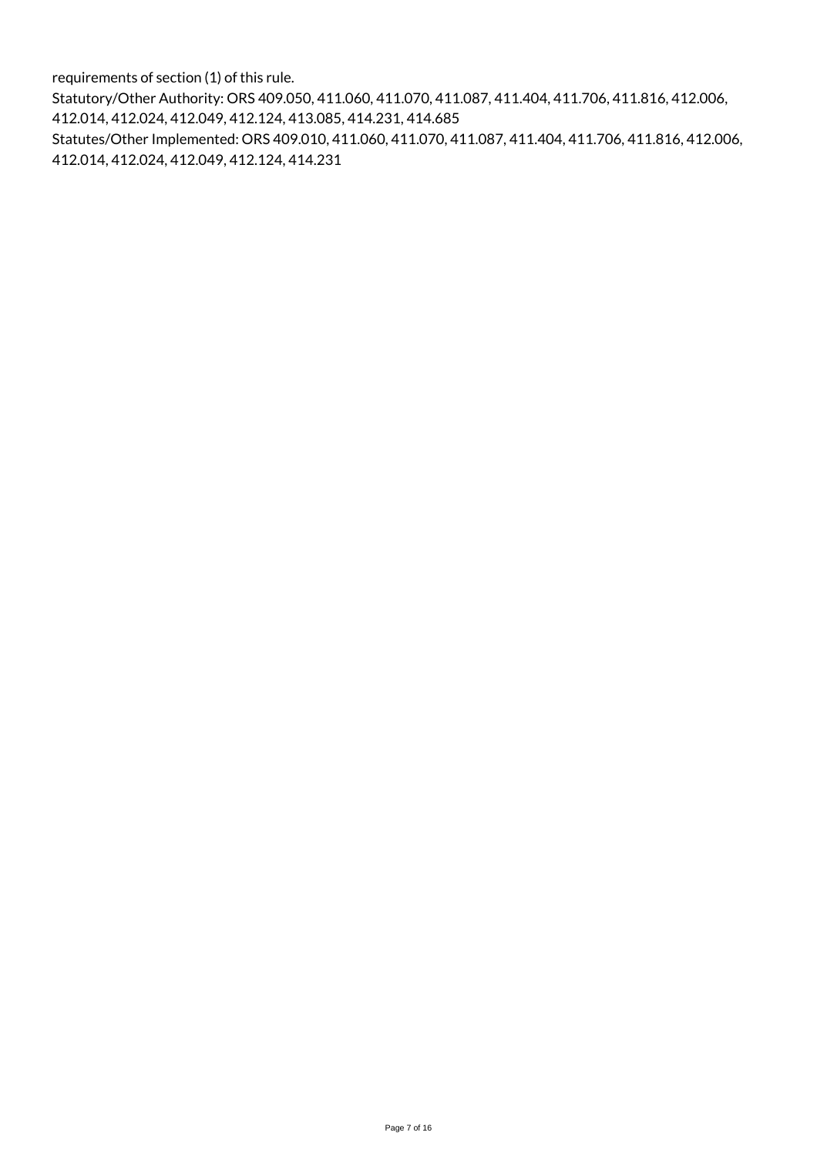requirements of section (1) of this rule.

Statutory/Other Authority: ORS 409.050, 411.060, 411.070, 411.087, 411.404, 411.706, 411.816, 412.006, 412.014, 412.024, 412.049, 412.124, 413.085, 414.231, 414.685

Statutes/Other Implemented: ORS 409.010, 411.060, 411.070, 411.087, 411.404, 411.706, 411.816, 412.006, 412.014, 412.024, 412.049, 412.124, 414.231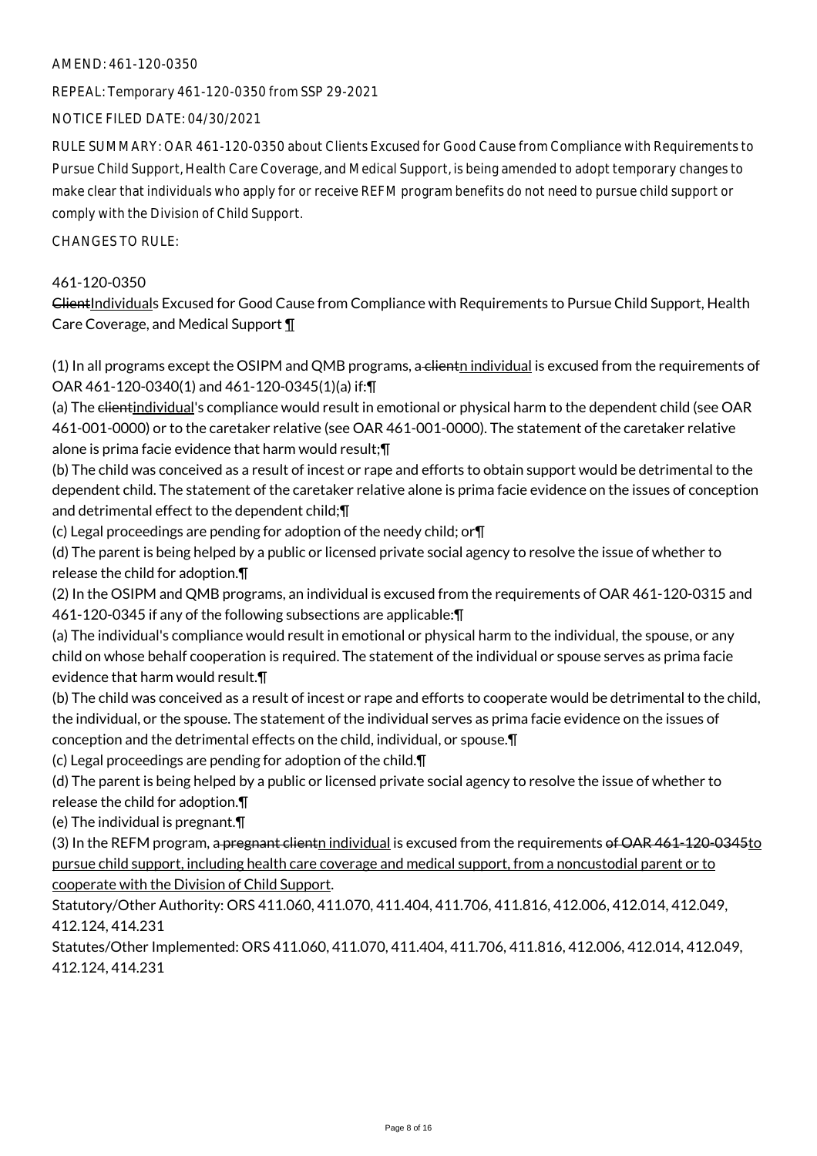## AMEND: 461-120-0350

REPEAL: Temporary 461-120-0350 from SSP 29-2021

NOTICE FILED DATE: 04/30/2021

RULE SUMMARY: OAR 461-120-0350 about Clients Excused for Good Cause from Compliance with Requirements to Pursue Child Support, Health Care Coverage, and Medical Support, is being amended to adopt temporary changes to make clear that individuals who apply for or receive REFM program benefits do not need to pursue child support or comply with the Division of Child Support.

CHANGES TO RULE:

## 461-120-0350

ClientIndividuals Excused for Good Cause from Compliance with Requirements to Pursue Child Support, Health Care Coverage, and Medical Support ¶

(1) In all programs except the OSIPM and QMB programs, a client individual is excused from the requirements of OAR 461-120-0340(1) and 461-120-0345(1)(a) if:¶

(a) The clientindividual's compliance would result in emotional or physical harm to the dependent child (see OAR 461-001-0000) or to the caretaker relative (see OAR 461-001-0000). The statement of the caretaker relative alone is prima facie evidence that harm would result;¶

(b) The child was conceived as a result of incest or rape and efforts to obtain support would be detrimental to the dependent child. The statement of the caretaker relative alone is prima facie evidence on the issues of conception and detrimental effect to the dependent child;¶

(c) Legal proceedings are pending for adoption of the needy child; or¶

(d) The parent is being helped by a public or licensed private social agency to resolve the issue of whether to release the child for adoption.¶

(2) In the OSIPM and QMB programs, an individual is excused from the requirements of OAR 461-120-0315 and 461-120-0345 if any of the following subsections are applicable:¶

(a) The individual's compliance would result in emotional or physical harm to the individual, the spouse, or any child on whose behalf cooperation is required. The statement of the individual or spouse serves as prima facie evidence that harm would result.¶

(b) The child was conceived as a result of incest or rape and efforts to cooperate would be detrimental to the child, the individual, or the spouse. The statement of the individual serves as prima facie evidence on the issues of conception and the detrimental effects on the child, individual, or spouse.¶

(c) Legal proceedings are pending for adoption of the child.¶

(d) The parent is being helped by a public or licensed private social agency to resolve the issue of whether to release the child for adoption.¶

(e) The individual is pregnant.¶

(3) In the REFM program, a pregnant client n individual is excused from the requirements of OAR  $461-120-0345$  to pursue child support, including health care coverage and medical support, from a noncustodial parent or to cooperate with the Division of Child Support.

Statutory/Other Authority: ORS 411.060, 411.070, 411.404, 411.706, 411.816, 412.006, 412.014, 412.049, 412.124, 414.231

Statutes/Other Implemented: ORS 411.060, 411.070, 411.404, 411.706, 411.816, 412.006, 412.014, 412.049, 412.124, 414.231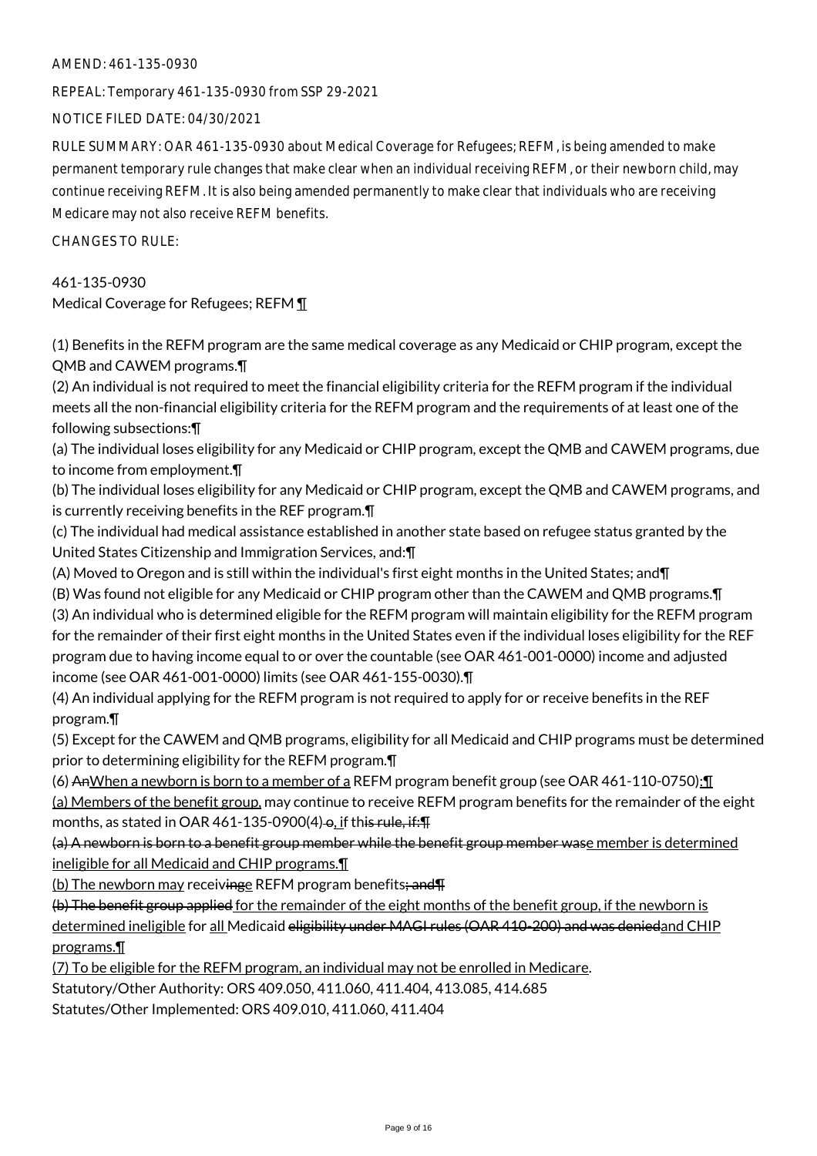## AMEND: 461-135-0930

REPEAL: Temporary 461-135-0930 from SSP 29-2021

NOTICE FILED DATE: 04/30/2021

RULE SUMMARY: OAR 461-135-0930 about Medical Coverage for Refugees; REFM, is being amended to make permanent temporary rule changes that make clear when an individual receiving REFM, or their newborn child, may continue receiving REFM. It is also being amended permanently to make clear that individuals who are receiving Medicare may not also receive REFM benefits.

CHANGES TO RULE:

461-135-0930 Medical Coverage for Refugees; REFM ¶

(1) Benefits in the REFM program are the same medical coverage as any Medicaid or CHIP program, except the QMB and CAWEM programs.¶

(2) An individual is not required to meet the financial eligibility criteria for the REFM program if the individual meets all the non-financial eligibility criteria for the REFM program and the requirements of at least one of the following subsections:¶

(a) The individual loses eligibility for any Medicaid or CHIP program, except the QMB and CAWEM programs, due to income from employment.¶

(b) The individual loses eligibility for any Medicaid or CHIP program, except the QMB and CAWEM programs, and is currently receiving benefits in the REF program.¶

(c) The individual had medical assistance established in another state based on refugee status granted by the United States Citizenship and Immigration Services, and:¶

(A) Moved to Oregon and is still within the individual's first eight months in the United States; and¶

(B) Was found not eligible for any Medicaid or CHIP program other than the CAWEM and QMB programs.¶ (3) An individual who is determined eligible for the REFM program will maintain eligibility for the REFM program for the remainder of their first eight months in the United States even if the individual loses eligibility for the REF program due to having income equal to or over the countable (see OAR 461-001-0000) income and adjusted income (see OAR 461-001-0000) limits (see OAR 461-155-0030).¶

(4) An individual applying for the REFM program is not required to apply for or receive benefits in the REF program.¶

(5) Except for the CAWEM and QMB programs, eligibility for all Medicaid and CHIP programs must be determined prior to determining eligibility for the REFM program.¶

(6) AnWhen a newborn is born to a member of a REFM program benefit group (see OAR 461-110-0750): $\P$ 

(a) Members of the benefit group, may continue to receive REFM program benefits for the remainder of the eight months, as stated in OAR 461-135-0900(4)- $\theta$ , if this rule, if: $\P$ 

(a) A newborn is born to a benefit group member while the benefit group member wase member is determined ineligible for all Medicaid and CHIP programs.¶

(b) The newborn may receivinge REFM program benefits; and T

(b) The benefit group applied for the remainder of the eight months of the benefit group, if the newborn is determined ineligible for all Medicaid eligibility under MAGI rules (OAR 410-200) and was deniedand CHIP programs.¶

(7) To be eligible for the REFM program, an individual may not be enrolled in Medicare.

Statutory/Other Authority: ORS 409.050, 411.060, 411.404, 413.085, 414.685

Statutes/Other Implemented: ORS 409.010, 411.060, 411.404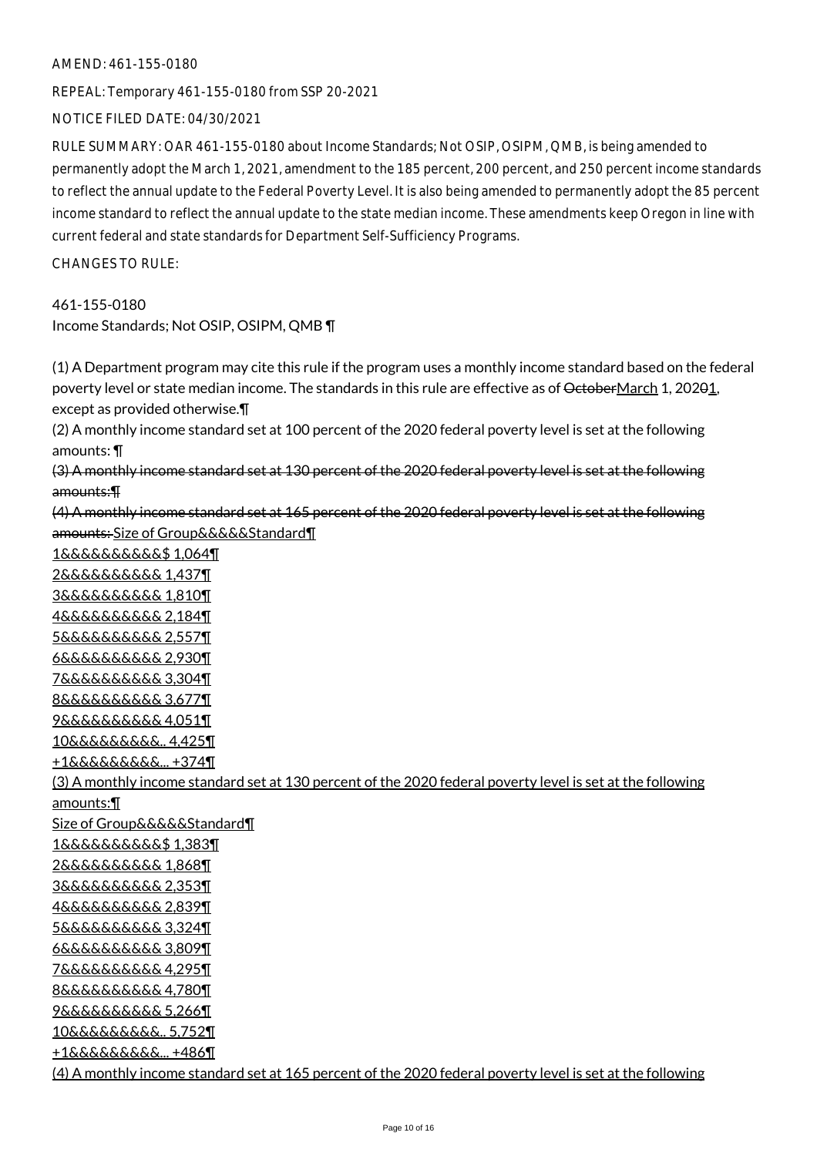#### AMEND: 461-155-0180

REPEAL: Temporary 461-155-0180 from SSP 20-2021

NOTICE FILED DATE: 04/30/2021

RULE SUMMARY: OAR 461-155-0180 about Income Standards; Not OSIP, OSIPM, QMB, is being amended to permanently adopt the March 1, 2021, amendment to the 185 percent, 200 percent, and 250 percent income standards to reflect the annual update to the Federal Poverty Level. It is also being amended to permanently adopt the 85 percent income standard to reflect the annual update to the state median income. These amendments keep Oregon in line with current federal and state standards for Department Self-Sufficiency Programs.

CHANGES TO RULE:

## 461-155-0180

Income Standards; Not OSIP, OSIPM, QMB ¶

(1) A Department program may cite this rule if the program uses a monthly income standard based on the federal poverty level or state median income. The standards in this rule are effective as of OctoberMarch 1, 20201, except as provided otherwise.¶

(2) A monthly income standard set at 100 percent of the 2020 federal poverty level is set at the following amounts: ¶

(3) A monthly income standard set at 130 percent of the 2020 federal poverty level is set at the following amounts:¶

(4) A monthly income standard set at 165 percent of the 2020 federal poverty level is set at the following amounts: Size of Group&&&&&Standard¶

1&&&&&&&&&&\$ 1,064¶ 2&&&&&&&&&& 1,437¶ 3&&&&&&&&&& 1,810¶ 4&&&&&&&&&& 2,184¶ 5&&&&&&&&&& 2,557¶ 6&&&&&&&&&& 2,930¶ 7&&&&&&&&&& 3,304¶ 8&&&&&&&&&& 3,677¶ 9&&&&&&&&&& 4,051¶ 10&&&&&&&&&.. 4,425¶ +1&&&&&&&&&... +374¶ (3) A monthly income standard set at 130 percent of the 2020 federal poverty level is set at the following amounts:¶ Size of Group&&&&&Standard¶ 1&&&&&&&&&&\$ 1,383¶ 2&&&&&&&&&& 1,868¶ 3&&&&&&&&&& 2,353¶ 4&&&&&&&&&& 2,839¶ 5&&&&&&&&&& 3,324¶ 6&&&&&&&&&& 3,809¶ 7&&&&&&&&&& 4,295¶ 8&&&&&&&&&& 4,780¶ 9&&&&&&&&&& 5,266¶ 10&&&&&&&&&.. 5,752¶ +1&&&&&&&&&... +486¶ (4) A monthly income standard set at 165 percent of the 2020 federal poverty level is set at the following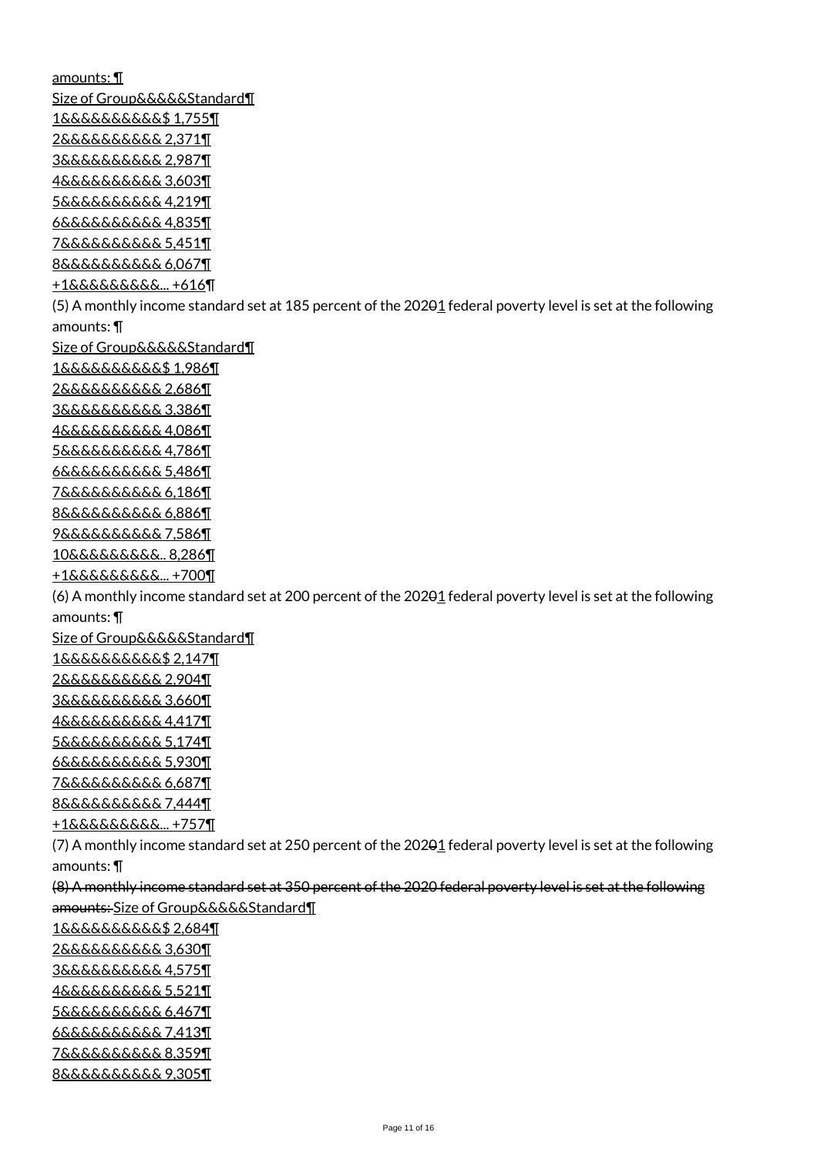amounts: ¶ Size of Group&&&&&Standard¶ 1&&&&&&&&&&\$ 1,755¶ 2&&&&&&&&&& 2,371¶ 3&&&&&&&&&& 2,987¶ 4&&&&&&&&&& 3,603¶ 5&&&&&&&&&& 4,219¶ 6&&&&&&&&&& 4,835¶ 7&&&&&&&&&& 5,451¶ 8&&&&&&&&&& 6,067¶ +1&&&&&&&&&... +616¶ (5) A monthly income standard set at 185 percent of the 202 $\theta$ 1 federal poverty level is set at the following amounts: ¶ Size of Group&&&&&Standard¶ 1&&&&&&&&&&\$ 1,986¶ 2&&&&&&&&&& 2,686¶ 3&&&&&&&&&& 3,386¶ 4&&&&&&&&&& 4,086¶ 5&&&&&&&&&& 4,786¶ 6&&&&&&&&&& 5,486¶ 7&&&&&&&&&& 6,186¶ 8&&&&&&&&&& 6,886¶ 9&&&&&&&&&& 7,586¶ 10&&&&&&&&&.. 8,286¶ +1&&&&&&&&&... +700¶ (6) A monthly income standard set at 200 percent of the 20201 federal poverty level is set at the following amounts: ¶ Size of Group&&&&&Standard¶ 1&&&&&&&&&&\$ 2,147¶ 2&&&&&&&&&& 2,904¶ 3&&&&&&&&&& 3,660¶ 4&&&&&&&&&& 4,417¶ 5&&&&&&&&&& 5,174¶ 6&&&&&&&&&& 5,930¶ 7&&&&&&&&&& 6,687¶ 8&&&&&&&&&& 7,444¶ +1&&&&&&&&&... +757¶ (7) A monthly income standard set at 250 percent of the 20201 federal poverty level is set at the following amounts: ¶ (8) A monthly income standard set at 350 percent of the 2020 federal poverty level is set at the following amounts: Size of Group&&&&&Standard¶ 1&&&&&&&&&&\$ 2,684¶ 2&&&&&&&&&& 3,630¶ 3&&&&&&&&&& 4,575¶ 4&&&&&&&&&& 5,521¶ 5&&&&&&&&&& 6,467¶ 6&&&&&&&&&& 7,413¶ 7&&&&&&&&&& 8,359¶ 8&&&&&&&&&& 9,305¶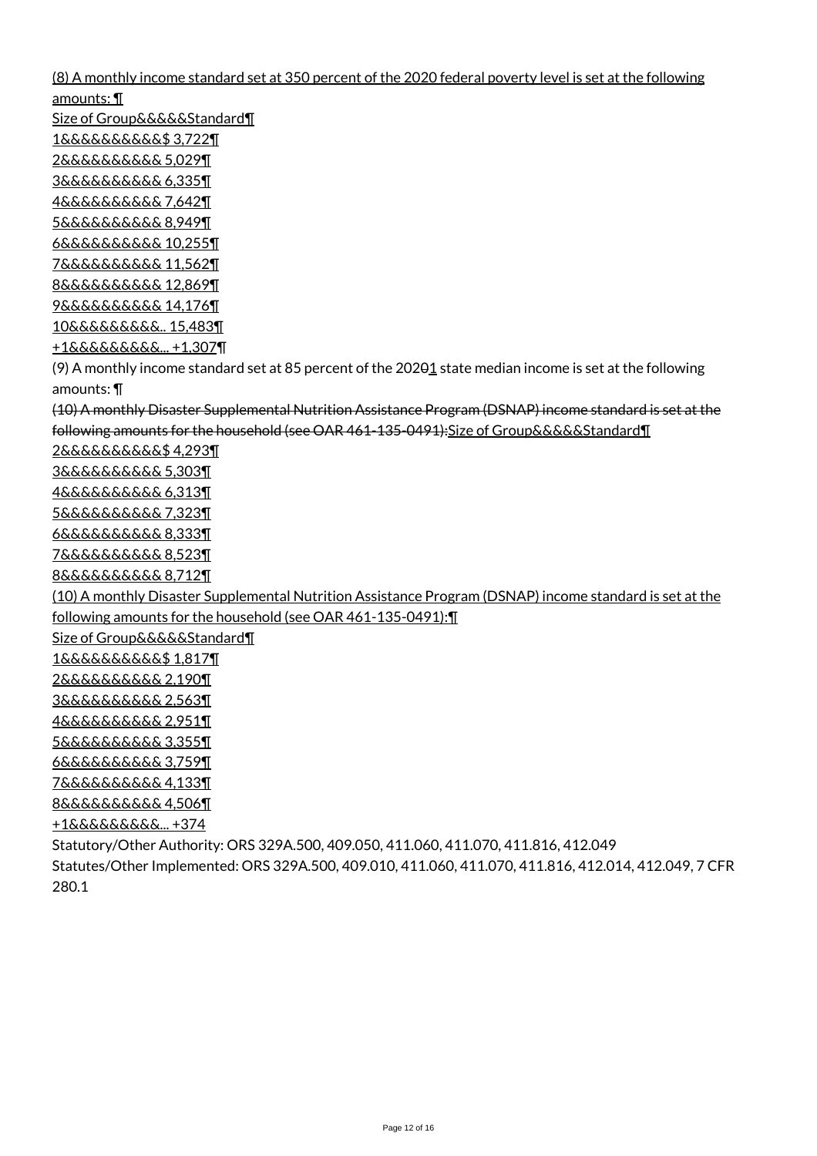(8) A monthly income standard set at 350 percent of the 2020 federal poverty level is set at the following amounts: ¶

Size of Group&&&&&Standard¶ 1&&&&&&&&&&\$ 3,722¶ 2&&&&&&&&&& 5,029¶ 3&&&&&&&&&& 6,335¶ 4&&&&&&&&&& 7,642¶ 5&&&&&&&&&& 8,949¶ 6&&&&&&&&&& 10,255¶ 7&&&&&&&&&& 11,562¶ 8&&&&&&&&&& 12,869¶ 9&&&&&&&&&& 14,176¶ 10&&&&&&&&&.. 15,483¶ +1&&&&&&&&&... +1,307¶ (9) A monthly income standard set at 85 percent of the 20201 state median income is set at the following amounts: ¶ (10) A monthly Disaster Supplemental Nutrition Assistance Program (DSNAP) income standard is set at the following amounts for the household (see OAR 461-135-0491):Size of Group&&&&&Standard¶ 2&&&&&&&&&&\$ 4,293¶ 3&&&&&&&&&& 5,303¶ 4&&&&&&&&&& 6,313¶ 5&&&&&&&&&& 7,323¶ 6&&&&&&&&&& 8,333¶ 7&&&&&&&&&& 8,523¶ 8&&&&&&&&&& 8,712¶ (10) A monthly Disaster Supplemental Nutrition Assistance Program (DSNAP) income standard is set at the following amounts for the household (see OAR 461-135-0491):¶ Size of Group&&&&&Standard¶ 1&&&&&&&&&&\$ 1,817¶ 2&&&&&&&&&& 2,190¶ 3&&&&&&&&&& 2,563¶ 4&&&&&&&&&& 2,951¶ 5&&&&&&&&&& 3,355¶ 6&&&&&&&&&& 3,759¶ 7&&&&&&&&&& 4,133¶ 8&&&&&&&&&& 4,506¶ +1&&&&&&&&&... +374 Statutory/Other Authority: ORS 329A.500, 409.050, 411.060, 411.070, 411.816, 412.049 Statutes/Other Implemented: ORS 329A.500, 409.010, 411.060, 411.070, 411.816, 412.014, 412.049, 7 CFR 280.1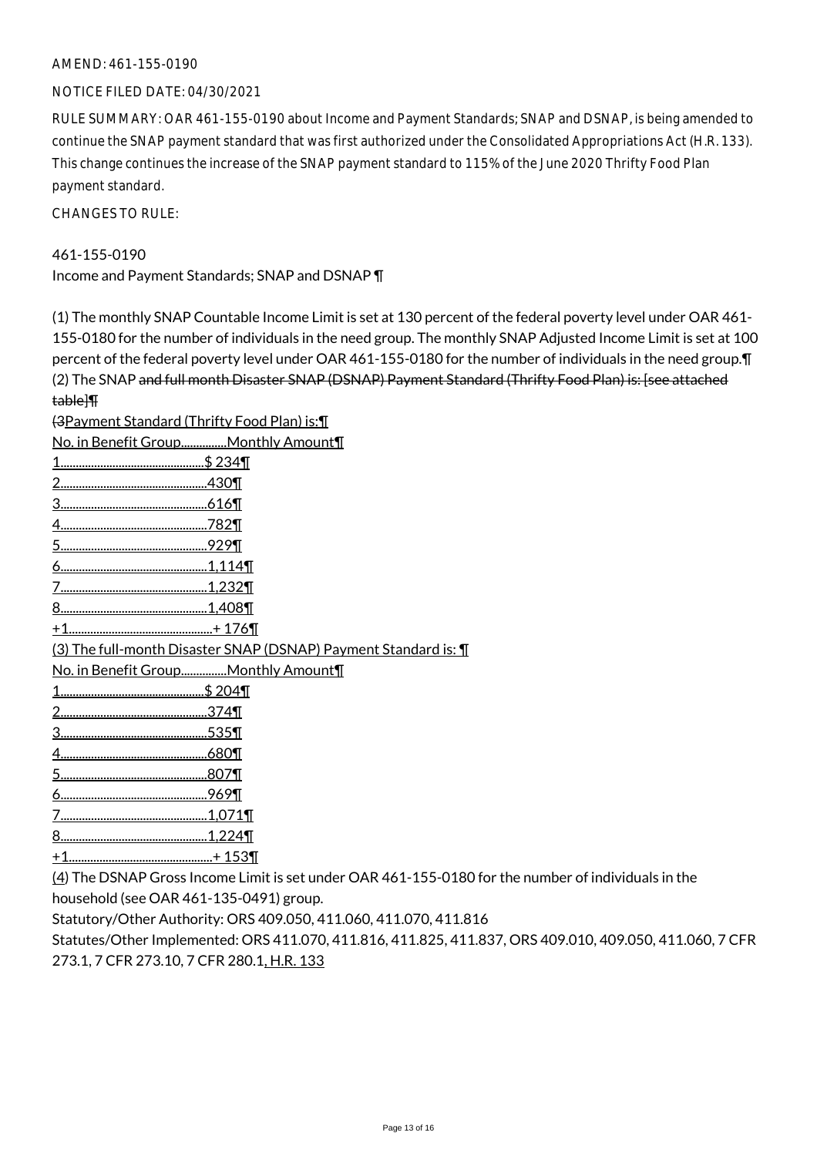## AMEND: 461-155-0190

NOTICE FILED DATE: 04/30/2021

RULE SUMMARY: OAR 461-155-0190 about Income and Payment Standards; SNAP and DSNAP, is being amended to continue the SNAP payment standard that was first authorized under the Consolidated Appropriations Act (H.R. 133). This change continues the increase of the SNAP payment standard to 115% of the June 2020 Thrifty Food Plan payment standard.

CHANGES TO RULE:

## 461-155-0190

Income and Payment Standards; SNAP and DSNAP ¶

(1) The monthly SNAP Countable Income Limit is set at 130 percent of the federal poverty level under OAR 461- 155-0180 for the number of individuals in the need group. The monthly SNAP Adjusted Income Limit is set at 100 percent of the federal poverty level under OAR 461-155-0180 for the number of individuals in the need group.¶ (2) The SNAP and full month Disaster SNAP (DSNAP) Payment Standard (Thrifty Food Plan) is: [see attached table]¶

(3Payment Standard (Thrifty Food Plan) is:¶

| No. in Benefit GroupMonthly Amount¶                               |
|-------------------------------------------------------------------|
| <u>\$ 234¶</u>                                                    |
|                                                                   |
|                                                                   |
|                                                                   |
|                                                                   |
|                                                                   |
|                                                                   |
|                                                                   |
|                                                                   |
| (3) The full-month Disaster SNAP (DSNAP) Payment Standard is: 1   |
| No. in Benefit GroupMonthly Amount¶                               |
|                                                                   |
|                                                                   |
|                                                                   |
|                                                                   |
|                                                                   |
|                                                                   |
|                                                                   |
| 8.                                                                |
|                                                                   |
| $(4)$ The DCNAD Curry linear Unit is estimated OAD 4/4, 4FF, 040( |

(4) The DSNAP Gross Income Limit is set under OAR 461-155-0180 for the number of individuals in the household (see OAR 461-135-0491) group.

Statutory/Other Authority: ORS 409.050, 411.060, 411.070, 411.816

Statutes/Other Implemented: ORS 411.070, 411.816, 411.825, 411.837, ORS 409.010, 409.050, 411.060, 7 CFR 273.1, 7 CFR 273.10, 7 CFR 280.1, H.R. 133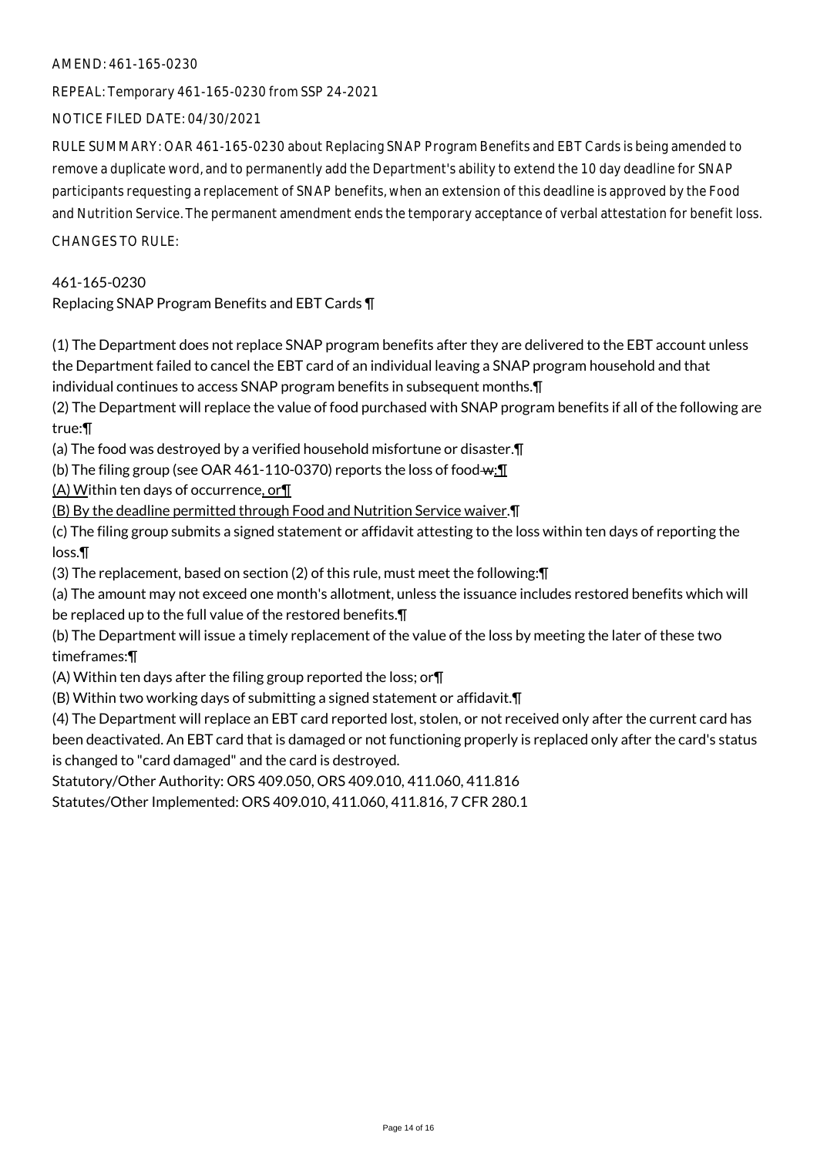## AMEND: 461-165-0230

REPEAL: Temporary 461-165-0230 from SSP 24-2021

NOTICE FILED DATE: 04/30/2021

RULE SUMMARY: OAR 461-165-0230 about Replacing SNAP Program Benefits and EBT Cards is being amended to remove a duplicate word, and to permanently add the Department's ability to extend the 10 day deadline for SNAP participants requesting a replacement of SNAP benefits, when an extension of this deadline is approved by the Food and Nutrition Service. The permanent amendment ends the temporary acceptance of verbal attestation for benefit loss.

CHANGES TO RULE:

461-165-0230

Replacing SNAP Program Benefits and EBT Cards ¶

(1) The Department does not replace SNAP program benefits after they are delivered to the EBT account unless the Department failed to cancel the EBT card of an individual leaving a SNAP program household and that individual continues to access SNAP program benefits in subsequent months.¶

(2) The Department will replace the value of food purchased with SNAP program benefits if all of the following are true:¶

(a) The food was destroyed by a verified household misfortune or disaster.¶

(b) The filing group (see OAR 461-110-0370) reports the loss of food  $w:\mathbb{T}$ 

(A) Within ten days of occurrence, or¶

(B) By the deadline permitted through Food and Nutrition Service waiver.¶

(c) The filing group submits a signed statement or affidavit attesting to the loss within ten days of reporting the loss.¶

(3) The replacement, based on section (2) of this rule, must meet the following:¶

(a) The amount may not exceed one month's allotment, unless the issuance includes restored benefits which will be replaced up to the full value of the restored benefits.¶

(b) The Department will issue a timely replacement of the value of the loss by meeting the later of these two timeframes:¶

(A) Within ten days after the filing group reported the loss; or¶

(B) Within two working days of submitting a signed statement or affidavit.¶

(4) The Department will replace an EBT card reported lost, stolen, or not received only after the current card has been deactivated. An EBT card that is damaged or not functioning properly is replaced only after the card's status is changed to "card damaged" and the card is destroyed.

Statutory/Other Authority: ORS 409.050, ORS 409.010, 411.060, 411.816

Statutes/Other Implemented: ORS 409.010, 411.060, 411.816, 7 CFR 280.1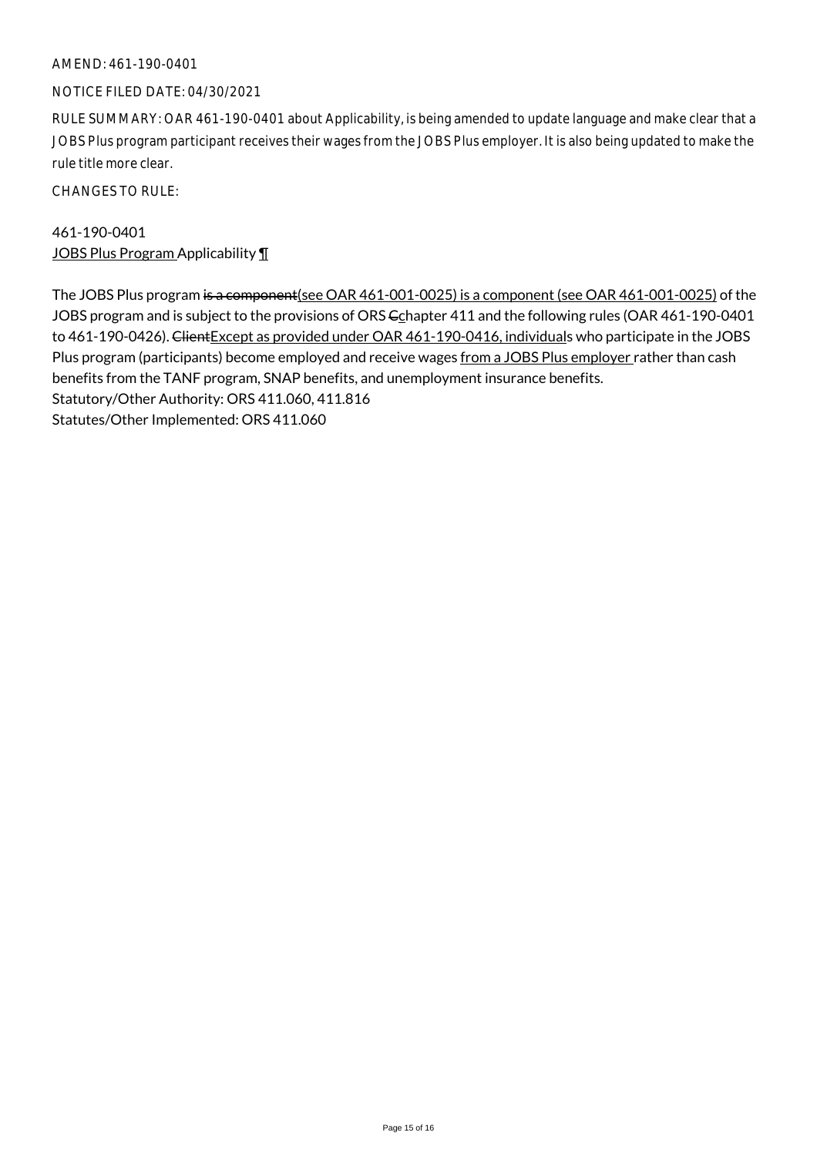## AMEND: 461-190-0401

#### NOTICE FILED DATE: 04/30/2021

RULE SUMMARY: OAR 461-190-0401 about Applicability, is being amended to update language and make clear that a JOBS Plus program participant receives their wages from the JOBS Plus employer. It is also being updated to make the rule title more clear.

CHANGES TO RULE:

461-190-0401 JOBS Plus Program Applicability ¶

The JOBS Plus program is a component(see OAR 461-001-0025) is a component (see OAR 461-001-0025) of the JOBS program and is subject to the provisions of ORS  $C_$  Chapter 411 and the following rules (OAR 461-190-0401 to 461-190-0426). Client Except as provided under OAR 461-190-0416, individuals who participate in the JOBS Plus program (participants) become employed and receive wages from a JOBS Plus employer rather than cash benefits from the TANF program, SNAP benefits, and unemployment insurance benefits. Statutory/Other Authority: ORS 411.060, 411.816 Statutes/Other Implemented: ORS 411.060